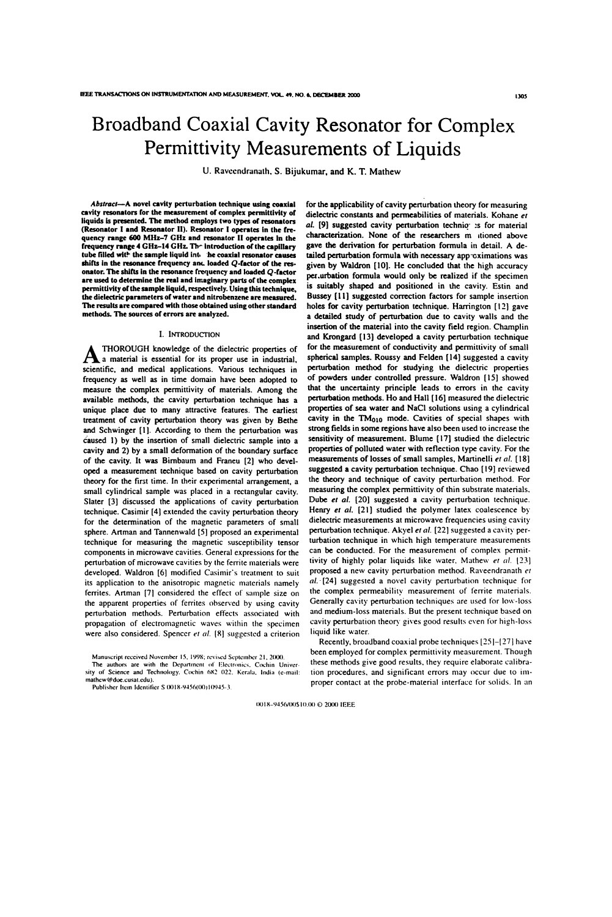# Broadband Coaxial Cavity Resonator for Complex Permittivity Measurements of Liquids

U. Raveendranath. S. Bijukumar, and K. T. Mathew

Abstract—A novel cavity perturbation technique using coaxial cavity resonators for the measurement of complex permittivity of liquids is presented. The method employs two types of resonators (Resonator I and Resonator ll). Resonator l operates in the frequency range 600 MHZ-7 CH2 and resonator ll operates in the frequency range 4 Gliz-14 CH2. The introduction of the capillary tube filled wit? the sample liquid lnt- he coaxial resonator causes shifts in the resonance frequency and loaded  $Q$ -factor of the resonator. The shifts in the resonance frequency and loaded Q-factor are used to determine the real and imaginary parts of the complex permittivity of the sample liquid, respectively. Using this technique, the dielectric parameters of water and nitrobenzene are measured. The results are compared with those obtained using other standard methods. The sources of errors are analyzed.

## i. INTRODUCTION

THOROUGH knowledge of the dielectric properties of  $\mathbf A$  a material is essential for its proper use in industrial, scientific, and medical applications. Various techniques in frequency as well as in time domain have been adopted to measure the complex permittivity of materials. Among the available methods, the cavity perturbation technique has a unique place due to many attractive features. The earliest treatment of cavity perturbation theory was given by Bethe and Schwinger [l]. According to them the perturbation was caused l) by the insertion of small dielectric sample into a cavity and 2) by a small deformation of the boundary surface of the cavity. It was Bimbaum and Franeu [2] who developed a measurement technique based on cavity perturbation theory for the first time. ln their experimental arrangement, a small cylindrical sample was placed in a rectangular cavity. Slater [3] discussed the applications of cavity perturbation technique. Casimir [4] extended the cavity perturbation theory for the determination of the magnetic parameters of small sphere. Artman and Tannenwald [5] proposed an experimental technique for measuring the magnetic susceptibility tensor components in microwave cavities. General expressions for the perturbation of microwave cavities by the ferrite materials were developed. Waldron [6] modified Casimir's treatment to suit its application to the anisotropic magnetic materials namely ferrites. Artman [7] considered the effect of sample size on the apparent properties of ferrites observed by using cavity perturbation methods. Perturbation effects associated with propagation of electromagnetic waves within the specimen were also considered. Spencer  $et$  al.  $[8]$  suggested a criterion

Manuscript received November I5. I998; revised September 2|. 2000.

The authors are with the Department of Electronics, Cochin Univer-<br>sity of Science and Technology. Cochin 682 022. Kerala, India (e-mail: mathew@doc.cusat.edu).

Publisher Item Identifier S 0018-9456(00)10945-3.

dielectric constants and perrneabilities of materials. Kohane er al. [9] suggested cavity perturbation techniq :s for material characterization. None of the researchers m itioned above gave the derivation for perturbation formula in detail. A detailed perturbation formula with necessary approximations was given by Waldron [10]. He concluded that the high accuracy per.urbation formula would only be realized if the specimen is suitably shaped and positioned in the cavity. Estin and Bussey [l l] suggested correction factors for sample insertion holes for cavity perturbation technique. Harrington [l2] gave a detailed study of perturbation due to cavity walls and the insertion of the material into the cavity field region. Charnplin and Krongard [13] developed a cavity perturbation technique for the measurement of conductivity and permittivity of small spherical samples. Roussy and Felden [l4] suggested a cavity perturbation method for studying the dielectric properties of powders under controlled pressure. Waldron [I5] showed that the uncertainty principle leads to errors in the cavity perturbation methods. Ho and Hall [16] measured the dielectric properties of sea water and NaCl solutions using a cylindrical cavity in the  $TM<sub>010</sub>$  mode. Cavities of special shapes with strong fields in some regions have also been used to increase the sensitivity of measurement. Blume [17] studied the dielectric properties of polluted water with reflection type cavity. For the measurements of losses of small samples, Martinelli et al. [18] suggested a cavity perturbation technique. Chao [I9] reviewed the theory and technique of cavity perturbation method. For measuring the complex permittivity of thin substrate materials. Dube et al. [20] suggested a cavity perturbation technique. Henry et al. [21] studied the polymer latex coalescence by dielectric measurements at microwave frequencies using cavity perturbation technique. Akyel er al. [22] suggested a cavity perturbation technique in which high temperature measurements can be conducted. For the measurement of complex permittivity of highly polar liquids like water. Mathew et al. [23] proposed a new cavity perturbation method. Raveendranath er al. [24] suggested a novel cavity perturbation technique for the complex penneability measurement of ferrite materials. Generally cavity perturbation techniques are used for low-loss and medium-loss materials. But the present technique based on cavity perturbation theory gives good results even for high-loss liquid like water.

for the applicability of cavity perturbation theory for measuring

Recently, broadband coaxial probe techniques [25]-[27] have been employed for complex permittivity measurement. Though these methods give good results. they require elaborate calibration procedures. and significant errors may occur due to improper contact at the probe-material interface for solids. ln an

 $0.018 - 9456/00$10.00 © 2000 1EEE$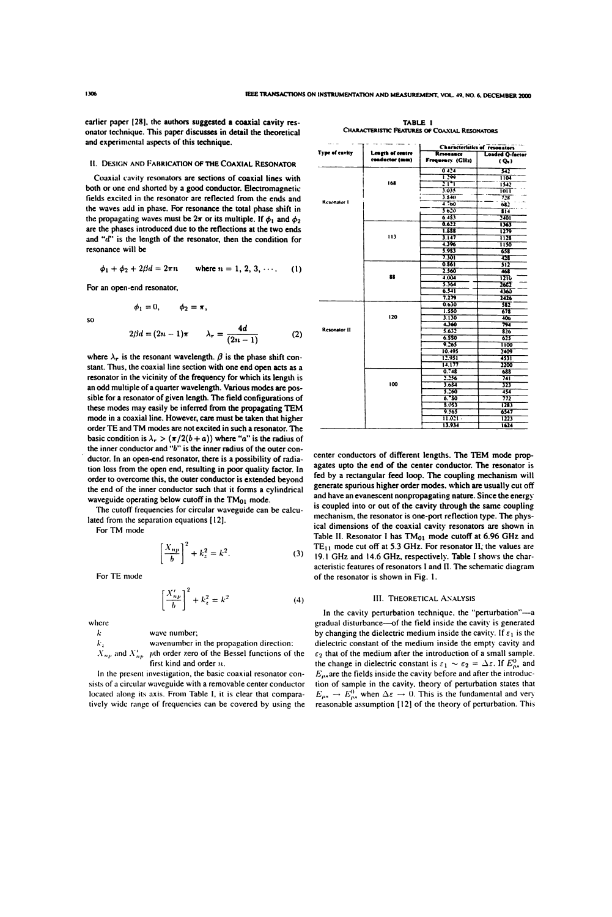earlier paper [28], the authors suggested a coaxial cavity resonator technique. This paper discusses in detail the theoretical and experimental aspects of this technique.

### II. DESIGN AND FABRICATION OF THE COAXIAL RESONATOR

Coaxial cavity resonators are sections of coaxial lines with both or one end shorted by a good conductor. Electromagnetic fields excited in the resonator are reflected from the ends and the waves add in phase. For resonance the total phase shift in the propagating waves must be  $2\pi$  or its multiple. If  $\phi_1$  and  $\phi_2$ are the phases introduced due to the reflections at the two ends and "d" is the length of the resonator, then the condition for resonance will be

$$
\phi_1 + \phi_2 + 2\beta d = 2\pi n \quad \text{where } n = 1, 2, 3, \cdots \quad (1)
$$

 $\phi_2 = \pi$ .

For an open-end resonator,

 $\phi_1 = 0.$ 

 $\overline{S}$ 

$$
2\beta d = (2n - 1)\pi \qquad \lambda_r = \frac{4d}{(2n - 1)}\tag{2}
$$

where  $\lambda_r$  is the resonant wavelength.  $\beta$  is the phase shift constant. Thus, the coaxial line section with one end open acts as a resonator in the vicinity of the frequency for which its length is an odd multiple of a quarter wavelength. Various modes are possible for a resonator of given length. The field configurations of these modes may easily be inferred from the propagating TEM mode in a coaxial line. However, care must be taken that higher order TE and TM modes are not excited in such a resonator. The basic condition is  $\lambda_r > (\pi/2(b+a))$  where "a" is the radius of the inner conductor and "b" is the inner radius of the outer conductor. In an open-end resonator, there is a possibility of radiation loss from the open end, resulting in poor quality factor. In order to overcome this, the outer conductor is extended beyond the end of the inner conductor such that it forms a cylindrical waveguide operating below cutoff in the  $TM_{01}$  mode.

The cutoff frequencies for circular waveguide can be calculated from the separation equations [12].

For TM mode

$$
\left[\frac{X_{np}}{b}\right]^2 + k_z^2 = k^2.
$$
 (3)

For TE mode

$$
\left(\frac{X'_{np}}{b}\right)^2 + k_z^2 = k^2 \tag{4}
$$

where ŀ.  $\mathbf{k}$ .

wave number; wavenumber in the propagation direction:  $X_{np}$  and  $X'_{np}$  pth order zero of the Bessel functions of the first kind and order  $n$ .

In the present investigation, the basic coaxial resonator consists of a circular waveguide with a removable center conductor located along its axis. From Table I, it is clear that comparatively wide range of frequencies can be covered by using the

|                     |                  | Characteristics of resonators |                           |
|---------------------|------------------|-------------------------------|---------------------------|
| Type of cavity      | Leagth of centre | Resonance                     | <b>Loaded O-factor</b>    |
|                     | conductor (mm)   | Frequency (GHz)               | $(Q_0)$                   |
|                     |                  | 0424                          | 342                       |
|                     |                  | 1.39                          | 1104                      |
|                     | 168              | $\overline{\mathbf{H}}$       | 1342                      |
|                     |                  | 1015                          | TOTT                      |
| Resonator I         |                  | 3.340                         | 728                       |
|                     |                  | $\overline{1}$ $\infty$       | 682                       |
|                     |                  | 30.0                          | $\overline{\mathbf{314}}$ |
|                     |                  | 6.453                         | 2401                      |
|                     |                  | 0.622                         | 1363                      |
|                     |                  | 1.558                         | 1279                      |
|                     | 113              | 3.147                         | 1128                      |
|                     |                  | 4.396                         | 1150                      |
|                     |                  | 5.953                         | 658                       |
|                     |                  | 7.301                         | 428                       |
|                     |                  | 0.861                         | সস                        |
|                     |                  | 2.560                         | ळा                        |
|                     | 88               | 4.004                         | 1216                      |
|                     |                  | 5.364                         | 2627                      |
|                     |                  | 6.प्रा                        | 1365                      |
|                     |                  | 7.279                         | 2426                      |
| <b>Resonator II</b> |                  | 0.630                         | 382                       |
|                     |                  | 1.550                         | 678                       |
|                     | 120              | 3.136                         | 305                       |
|                     |                  | 4.360                         | 794                       |
|                     |                  | 5.632                         | $\overline{\mathbf{326}}$ |
|                     |                  | 6.550                         | 625                       |
|                     |                  | 9.565                         | 1100                      |
|                     |                  | 10.495                        | 2409                      |
|                     |                  | 12.951                        | 4531                      |
|                     |                  | 14.177                        | 2200                      |
|                     |                  | 0.748                         | रहर                       |
|                     |                  | र रह                          | 741                       |
|                     | 100              | 3.651                         | 171                       |
|                     |                  | 5.260                         | ग्रा                      |
|                     |                  | 6.30                          | 772                       |
|                     |                  | \$.053                        | 1283                      |
|                     |                  | 9.565                         | 6547                      |
|                     |                  | $11.021 -$                    | 1223                      |
|                     |                  | 11011                         | $\overline{\cdots}$       |

center conductors of different lengths. The TEM mode propagates upto the end of the center conductor. The resonator is fed by a rectangular feed loop. The coupling mechanism will generate spurious higher order modes. which are usually cut off and have an evanescent nonpropagating nature. Since the energy is coupled into or out of the cavity through the same coupling mechanism, the resonator is one-port reflection type. The physical dimensions of the coaxial cavity resonators are shown in Table II. Resonator I has  $TM_{01}$  mode cutoff at 6.96 GHz and  $TE_{11}$  mode cut off at 5.3 GHz. For resonator II, the values are 19.1 GHz and 14.6 GHz, respectively. Table I shows the characteristic features of resonators I and II. The schematic diagram of the resonator is shown in Fig. 1.

## **III. THEORETICAL ANALYSIS**

In the cavity perturbation technique, the "perturbation"-a gradual disturbance-of the field inside the cavity is generated by changing the dielectric medium inside the cavity. If  $\varepsilon_1$  is the dielectric constant of the medium inside the empty cavity and  $\varepsilon_2$  that of the medium after the introduction of a small sample. the change in dielectric constant is  $\varepsilon_1 \sim \varepsilon_2 = \Delta \varepsilon$ . If  $E_{os}^0$  and  $E_{\rho s}$  are the fields inside the cavity before and after the introduction of sample in the cavity, theory of perturbation states that  $E_{\rho s} \to E_{as}^0$  when  $\Delta \varepsilon \to 0$ . This is the fundamental and very reasonable assumption [12] of the theory of perturbation. This

TABLE I **CHARACTERISTIC FEATURES OF COAXIAL RESONATORS**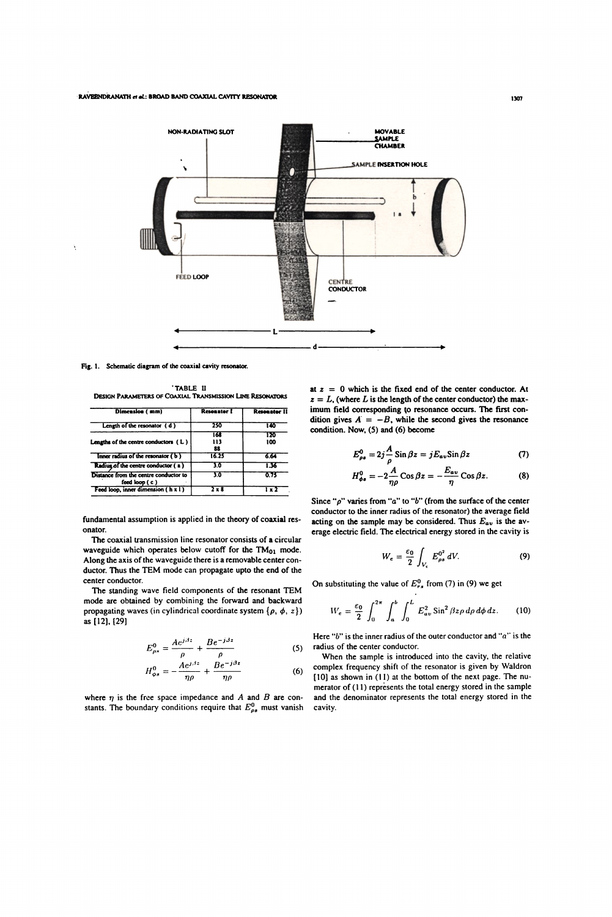

Fig. 1. Schematic diagram of the coaxial cavity resonator.

TABLE II **DESIGN PARAMETERS OF COAXIAL TRANSMISSION LINE RESONATORS** 

| Dimension (mm)                                         | <b>Resonator I</b> | <b>Resonator II</b> |
|--------------------------------------------------------|--------------------|---------------------|
| Length of the resonator (d)                            | 250                | 140                 |
| Lengths of the centre conductors $(L)$                 | 168<br>113<br>88   | 120<br>100          |
| Inner radius of the resonator (b)                      | 16.25              | 6.64                |
| Radius of the centre conductor (a)                     | 30                 | 1.36                |
| Distance from the centre conductor to<br>feed loop (c) | 3.0                | 0.73                |
| Feed loop, inner dimension (h x l)                     |                    |                     |

fundamental assumption is applied in the theory of coaxial resonator.

The coaxial transmission line resonator consists of a circular waveguide which operates below cutoff for the TM<sub>01</sub> mode. Along the axis of the waveguide there is a removable center conductor. Thus the TEM mode can propagate upto the end of the center conductor.

The standing wave field components of the resonant TEM mode are obtained by combining the forward and backward propagating waves (in cylindrical coordinate system  $\{p, \phi, z\}$ ) as [12], [29]

$$
E_{\rho s}^{0} = \frac{A e^{j\beta z}}{\rho} + \frac{B e^{-j\beta z}}{\rho}
$$
 (5)

$$
H_{\phi s}^{0} = -\frac{Ae^{j\beta z}}{\eta \rho} + \frac{Be^{-j\beta z}}{\eta \rho}
$$
 (6)

where  $\eta$  is the free space impedance and A and B are constants. The boundary conditions require that  $E_{\rho s}^0$  must vanish

at  $z = 0$  which is the fixed end of the center conductor. At  $z = L$ , (where L is the length of the center conductor) the maximum field corresponding to resonance occurs. The first condition gives  $A = -B$ , while the second gives the resonance condition. Now, (5) and (6) become

$$
E_{\rho s}^{0} = 2j \frac{A}{\rho} \sin \beta z = j E_{av} \sin \beta z \tag{7}
$$

$$
H_{\phi s}^{0} = -2\frac{A}{\eta \rho} \cos \beta z = -\frac{E_{av}}{\eta} \cos \beta z.
$$
 (8)

Since " $\rho$ " varies from "a" to "b" (from the surface of the center conductor to the inner radius of the resonator) the average field acting on the sample may be considered. Thus  $E_{av}$  is the average electric field. The electrical energy stored in the cavity is

$$
W_e = \frac{\varepsilon_0}{2} \int_{V_e} E_{\rho s}^{0^2} dV. \tag{9}
$$

On substituting the value of  $E_{rs}^0$  from (7) in (9) we get

$$
W_e = \frac{\varepsilon_0}{2} \int_0^{2\pi} \int_a^b \int_0^L E_{av}^2 \sin^2 \beta z \rho \, d\rho \, d\phi \, dz. \tag{10}
$$

Here " $b$ " is the inner radius of the outer conductor and " $a$ " is the radius of the center conductor.

When the sample is introduced into the cavity, the relative complex frequency shift of the resonator is given by Waldron  $[10]$  as shown in  $(11)$  at the bottom of the next page. The numerator of (11) represents the total energy stored in the sample and the denominator represents the total energy stored in the cavity.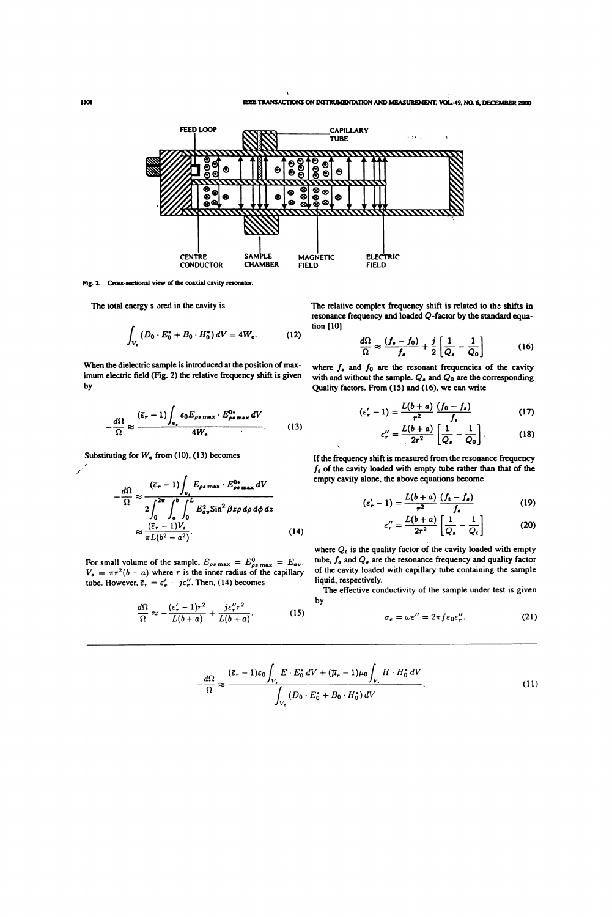

 $\ddot{\phantom{0}}$ 

Fig. 2. Cross-sectional view of the coaxial cavity resonator.

The total energy s ored in the cavity is

$$
\int_{V_{\epsilon}} \left( D_0 \cdot E_0^* + B_0 \cdot H_0^* \right) dV = 4W_{\epsilon}.
$$
 (12)

When the dielectric sample is introduced at the position of maximum electric field (Fig. 2) the relative frequency shift is given by

$$
-\frac{d\Omega}{\Omega} \approx \frac{(\bar{\varepsilon}_r - 1) \int_{v_\epsilon} \varepsilon_0 E_{\rho s \max} \cdot E_{\rho s \max}^{0} dV}{4W_{\epsilon}}.
$$
 (13)

Substituting for  $W_e$  from (10), (13) becomes

$$
-\frac{d\Omega}{\Omega} \approx \frac{(\bar{\varepsilon}_r - 1) \int_{v_s} E_{\rho s \max} \cdot E_{\rho s \max}^{0*} dV}{2 \int_0^{2\pi} \int_0^b \int_0^L E_{av}^2 \sin^2 \beta z \rho \, d\rho \, d\phi \, dz}
$$

$$
\approx \frac{(\bar{\varepsilon}_r - 1) V_s}{\pi L (b^2 - a^2)}.
$$
(14)

For small volume of the sample,  $E_{\rho s \max} = E_{\rho s \max} = E_{av}$ .  $V_s = \pi r^2(b - a)$  where r is the inner radius of the capillary tube. However,  $\bar{\epsilon}_r = \epsilon_r' - j\epsilon_r''$ . Then, (14) becomes

$$
\frac{d\Omega}{\Omega} \approx -\frac{(\epsilon'_r - 1)r^2}{L(b+a)} + \frac{j\epsilon''_r r^2}{L(b+a)}.
$$
 (15)

The relative complex frequency shift is related to the shifts in resonance frequency and loaded Q-factor by the standard equation [10]

$$
\frac{d\Omega}{\Omega} \approx \frac{(f_{\bullet} - f_0)}{f_{\bullet}} + \frac{j}{2} \left[ \frac{1}{Q_{\bullet}} - \frac{1}{Q_0} \right]
$$
(16)

where  $f_{\rm s}$  and  $f_0$  are the resonant frequencies of the cavity with and without the sample.  $Q_{\bullet}$  and  $Q_0$  are the corresponding Quality factors. From (l5) and (16), we can write

$$
(\varepsilon'_{r}-1)=\frac{L(b+a)}{r^{2}}\,\frac{(f_{0}-f_{\bullet})}{f_{\bullet}}\tag{17}
$$

$$
\varepsilon_{r}^{\prime\prime} = \frac{L(b+a)}{2r^2} \left[ \frac{1}{Q_{\bullet}} - \frac{1}{Q_{0}} \right].
$$
 (18)

If the frequency shift is measured from the resonance frequency  $f_t$  of the cavity loaded with empty tube rather than that of the empty cavity alone, the above equations become

$$
\left(\varepsilon_{r}^{\prime}-1\right)=\frac{L(b+a)}{r^{2}}\,\frac{\left(f_{t}-f_{s}\right)}{f_{s}}\tag{19}
$$

$$
\varepsilon_{r}^{\prime\prime} = \frac{L(b+a)}{2r^2} \left[ \frac{1}{Q_s} - \frac{1}{Q_t} \right] \tag{20}
$$

where  $Q_t$  is the quality factor of the cavity loaded with empty tube,  $f_s$  and  $Q_s$  are the resonance frequency and quality factor of the cavity loaded with capillary tube containing the sample liquid, respectively.

The effective conductivity of the sample under test is given by

$$
\sigma_{\epsilon} = \omega \epsilon'' = 2\pi f \epsilon_0 \epsilon''_r. \tag{21}
$$

$$
-\frac{d\Omega}{\Omega} \approx \frac{(\bar{\varepsilon}_r - 1)\varepsilon_0 \int_{V_\bullet} E \cdot E_0^* dV + (\bar{\mu}_r - 1)\mu_0 \int_{V_\bullet} H \cdot H_0^* dV}{\int_{V_\bullet} (D_0 \cdot E_0^* + B_0 \cdot H_0^*) dV}.
$$
 (11)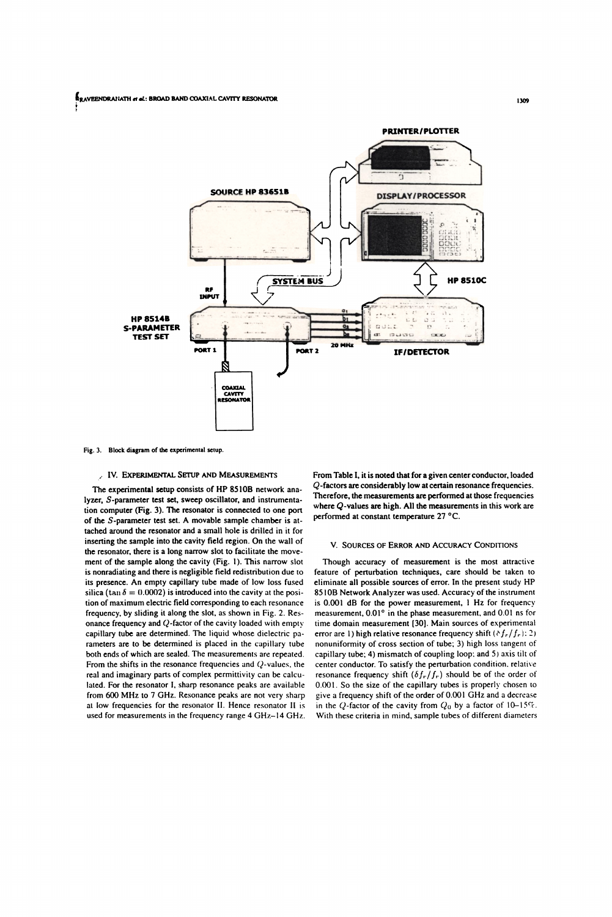

Fig. 3. Block diagram of the experimental setup.

# V. IV. EXPERIMENTAL SETUP AND MEASUREMENTS

The experimental setup consists of HP 8510B network analyzer, S-parameter test set, sweep oscillator, and instrumentation computer (Fig. 3). The resonator is connected to one port of the S-parameter test set. A movable sample chamber is attached around the resonator and a small hole is drilled in it for inserting the sample into the cavity field region. On the wall of the resonator, there is a long narrow slot to facilitate the movement of the sample along the cavity (Fig. 1). This narrow slot is nonradiating and there is negligible field redistribution due to its presence. An empty capillary tube made of low loss fused silica (tan  $\delta = 0.0002$ ) is introduced into the cavity at the position of maximum electric field corresponding to each resonance frequency, by sliding it along the slot, as shown in Fig. 2. Resonance frequency and  $Q$ -factor of the cavity loaded with empty capillary tube are determined. The liquid whose dielectric parameters are to be determined is placed in the capillary tube both ends of which are sealed. The measurements are repeated. From the shifts in the resonance frequencies and Q-values, the real and imaginary parts of complex permittivity can be calculated. For the resonator I, sharp resonance peaks are available from 600 MHz to 7 GHz. Resonance peaks are not very sharp at low frequencies for the resonator II. Hence resonator II is used for measurements in the frequency range 4 GHz-14 GHz. From Table I, it is noted that for a given center conductor, loaded Q-factors are considerably low at certain resonance frequencies. Therefore, the measurements are performed at those frequencies where  $Q$ -values are high. All the measurements in this work are performed at constant temperature 27 °C.

## V. SOURCES OF ERROR AND ACCURACY CONDITIONS

Though accuracy of measurement is the most attractive feature of perturbation techniques, care should be taken to eliminate all possible sources of error. In the present study HP 8510B Network Analyzer was used. Accuracy of the instrument is 0.001 dB for the power measurement, 1 Hz for frequency measurement, 0.01° in the phase measurement, and 0.01 ns for time domain measurement [30]. Main sources of experimental error are 1) high relative resonance frequency shift ( $\delta f_r/f_r$ ): 2) nonuniformity of cross section of tube; 3) high loss tangent of capillary tube; 4) mismatch of coupling loop; and 5) axis tilt of center conductor. To satisfy the perturbation condition, relative resonance frequency shift  $(\delta f_r/f_r)$  should be of the order of 0.001. So the size of the capillary tubes is properly chosen to give a frequency shift of the order of 0.001 GHz and a decrease in the Q-factor of the cavity from  $Q_0$  by a factor of 10-15%. With these criteria in mind, sample tubes of different diameters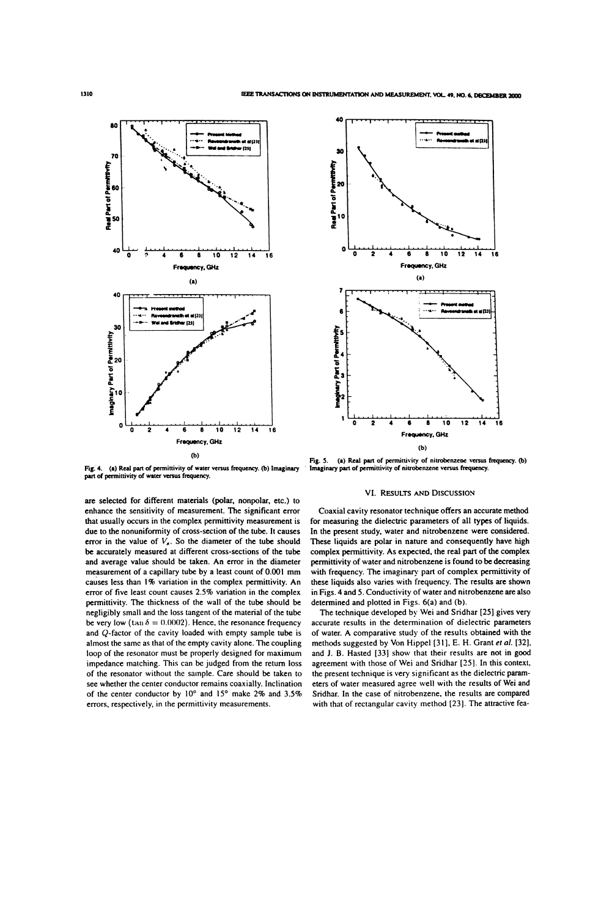

Fig. 4. (a) Real part of permittivity of water versus frequency. (b) Imaginary part of permittivity of water versus frequency.

are selected for different materials (polar, nonpolar, etc.) to enhance the sensitivity of measurement. The significant error that usually occurs in the complex permittivity measurement is due to the nonuniformity of cross-section of the tube. It causes error in the value of  $V_s$ . So the diameter of the tube should be accurately measured at different cross-sections of the tube and average value should be taken. An error in the diameter measurement of a capillary tube by a least count of 0.001 mm causes less than 1% variation in the complex permittivity. An error of five least count causes 2.5% variation in the complex permittivity. The thickness of the wall of the tube should be negligibly small and the loss tangent of the material of the tube be very low (tan  $\delta = 0.0002$ ). Hence, the resonance frequency and Q-factor of the cavity loaded with empty sample tube is almost the same as that of the empty cavity alone. The coupling loop of the resonator must be properly designed for maximum impedance matching. This can be judged from the return loss of the resonator without the sample. Care should be taken to see whether the center conductor remains coaxially. Inclination of the center conductor by 10° and 15° make 2% and 3.5% errors, respectively, in the permittivity measurements.



Fig. 5. (a) Real part of permittivity of nitrobenzene versus frequency. (b) Imaginary part of permittivity of nitrobenzene versus frequency.

## VI. RESULTS AND DISCUSSION

Coaxial cavity resonator technique offers an accurate method for measuring the dielectric parameters of all types of liquids. In the present study, water and nitrobenzene were considered. These liquids are polar in nature and consequently have high complex permittivity. As expected, the real part of the complex permittivity of water and nitrobenzene is found to be decreasing with frequency. The imaginary part of complex permittivity of these liquids also varies with frequency. The results are shown in Figs. 4 and 5. Conductivity of water and nitrobenzene are also determined and plotted in Figs. 6(a) and (b).

The technique developed by Wei and Sridhar [25] gives very accurate results in the determination of dielectric parameters of water. A comparative study of the results obtained with the methods suggested by Von Hippel [31], E. H. Grant et al. [32], and J. B. Hasted [33] show that their results are not in good agreement with those of Wei and Sridhar [25]. In this context, the present technique is very significant as the dielectric parameters of water measured agree well with the results of Wei and Sridhar. In the case of nitrobenzene, the results are compared with that of rectangular cavity method [23]. The attractive fea-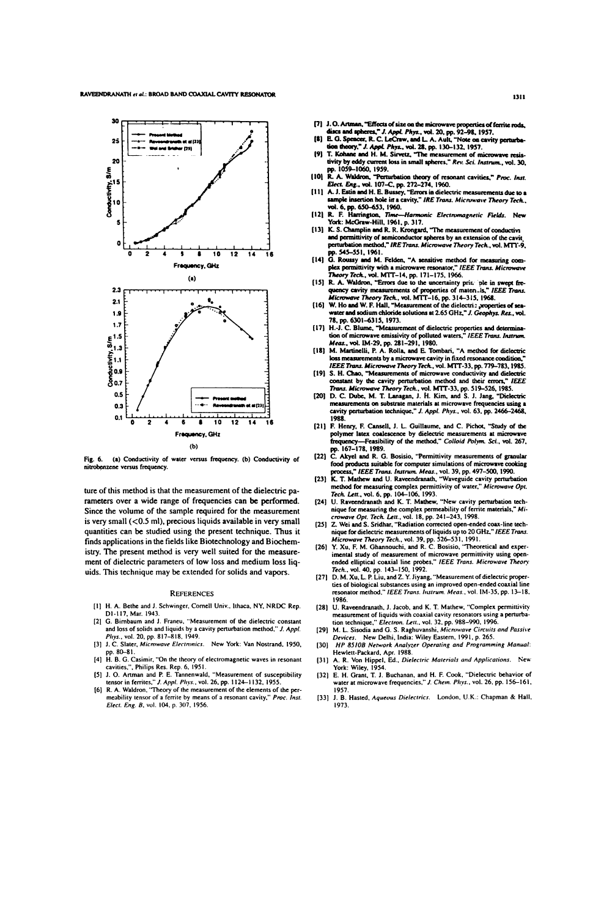

(a) Conductivity of water versus frequency. (b) Conductivity of Fig. 6. nitrobenzene versus frequency.

ture of this method is that the measurement of the dielectric parameters over a wide range of frequencies can be performed. Since the volume of the sample required for the measurement is very small (<0.5 ml), precious liquids available in very small quantities can be studied using the present technique. Thus it finds applications in the fields like Biotechnology and Biochemistry. The present method is very well suited for the measurement of dielectric parameters of low loss and medium loss liquids. This technique may be extended for solids and vapors.

#### **REFERENCES**

- [1] H. A. Bethe and J. Schwinger, Cornell Univ., Ithaca, NY, NRDC Rep. D1-117, Mar. 1943.
- [2] G. Birnbaum and J. Franeu, "Measurement of the dielectric constant and loss of solids and liquids by a cavity perturbation method," J. Appl. Phys., vol. 20, pp. 817-818, 1949.
- [3] J. C. Slater, Microwave Electronics. New York: Van Nostrand, 1950, pp. 80-81.
- p. 6. C. Casimir, "On the theory of electromagnetic waves in resonant<br>cavities,", Philips Res. Rep. 6, 1951.
- [5] J. O. Artman and P. E. Tannenwald, "Measurement of susceptibility
- tensor in ferrites," J. Appl. Phys., vol. 26, pp. 1124-1132, 1955.<br>
[6] R. A. Waldron, "Theory of the measurement of the elements of the per-<br>
meability tensor of a ferrite by means of a resonant cavity," *Proc. Inst.* Elect. Eng. B, vol. 104, p. 307, 1956.
- 
- 
- [7] J. O. Artman, "Effects of size on the microwave properties of ferrite rods,<br>discs and apheres," J. Appl. Phys., vol. 20, pp. 92–98, 1957.<br>
[8] E. G. Spencer, R. C. LeCraw, and L. A. Ault, "Note on cavity perturbe-<br>
to
- 
- pp. 1039-1000, 1959.<br>
[10] R. A. Waldron, "Perturbation theory of resonant cavities," Proc. Inst.<br>
Elect. Eng., vol. 107-C, pp. 272-274, 1960.<br>
[11] A. J. Estin and H. E. Bussey, "Errors in dielectric measurements due to a
- 
- sample insection hole in a cavity," IRE Trans. Microwave Theory Tech.,<br>
vol. 6, pp. 650–653, 1960.<br>
[12] R. F. Harrington, *Time—Harmonic Electromagnetic Fields.* New<br>
York: McGraw-Hill, 1961, p. 317.<br>
[13] K. S. Champlin
- pp. 545-551, 1961.<br>[14] G. Roussy and M. Felden, "A sensitive method for measuring complex permittivity with a microwave resonator," IEEE Trans. Microwave
- plex permittivity with a microwave resonator," IEEE Trans. Microwave<br>Theory Tech, vol. MTT-14, pp. 171-175, 1966.<br>[15] R. A. Waldron, "Errors due to the uncertainty principle in swept frequency cavity measurements of prope
- 78, pp. 6301-6315, 1973.<br>[17] H.-J. C. Blume, "Measures
- H.-J. C. Blume, "Measurement of dielectric properties and determination of microwave emissivity of polluted waters," IEEE Trans. Instrum.<br>Meas., vol. IM.29, pp. 281-291, 1980.
- means, vol. ave. 2, pp. 201-271, 1900.<br>[18] M. Martinelli, P. A. Rolla, and E. Tombari, "A method for dielectric<br>loss measurements by a microwave cavity in fixed resonance condition,"
- IEEE Trans. Microwave Theory Tech., vol. MTT-33, pp. 779-783, 1985.<br>[19] S. H. Chao, "Measurements of microwave conductivity and dielectric
- 1919 S. H. Chao, "Measurements or microwave conductivity and detecture<br>constant by the cavity perturbation method and their errors," *IEEE*<br>Trans. Microwave Theory Tech, vol. MTT-33, pp. 519–526, 1985.<br>[20] D. C. Dube, M. cavity perturbation technique," J. Appl. Phys., vol. 63, pp. 2466-2468, 1988
- [21] F. Henry, F. Cansell, J. L. Guillaume, and C. Pichot, "Study of the Friendy, it cannot detective measurements at micrower frequency—Feasibility of the method," Colloid Polym. Sci., vol. 267, pp. 167-178, 1989.<br>C. Akyel and R. G. Bossisio, "Permittivity measurements of granular
- $[22]$
- 1221 C. Any a such that the consumer simulations of microwave cooking<br>frocess," *IEEE Trans. Instrum. Meas.*, vol. 39, pp. 497–500, 1990.<br>
133) K. T. Mathew and U. Ravendranah, "Waveguide cavity perturbation<br>
method for m
- or interesting the complex permeability of ferrite materials," Mi-<br>crowave Opt. Tech. Lett., vol. 18, pp. 241–243, 1998.<br>Z. Wei and S. Sridhar, "Radiation corrected open-ended coax-line tech-
- $1251$ 2. Wei and S. Sindhar, "Radiation corrected open-ended coas-line technique for dielectric measurements of liquids up to 20 GHz," IEEE Trans.<br>Microwave Theory Tech, vol. 39, pp. 526–531, 1991.<br>Y. Xu, F. M. Ghannouchi, and R
- $(26)$ mental study of measurement of intervalse." IEEE Trans. Microwave Theory<br>
Tech., vol. 40, pp. 143-150, 1992.<br>
Tech., vol. 40, pp. 143-150, 1992.<br>
(27) D. M. Xu, L. P. Liu, and Z. Y. Jiyang, "Measurement of dielectric prope
- resonator method," IEEE Trans. Instrum. Meas., vol. IM-35, pp. 13-18.
- [28] U. Raveendranath, J. Jacob, and K. T. Mathew, "Complex permittivity or reasonablance, *i.* success, and *i.* t. *i. wallows*, considering a perturba-<br>tion technique," *Electron. Lett.*, vol. 32, pp. 988–990, 1996.
- tion technique, Electron. Lett., vot. 32, pp. 500–750, 1570.<br>M. L. Sisodia and G. S. Raghuvanshi, Microwave Circuits and Passive<br>Devices. New Delhi, India: Wiley Eastern, 1991, p. 265.  $[29]$ HP 8510B Network Analyzer Operating and Programming Manual:  $[30]$
- Hewlett-Packard, Apr. 1988. A. R. Von Hippel, Ed., Dielectric Materials and Applications. New York: Wiley, 1954.  $[31]$
- E. H. Grant, T. J. Buchanan, and H. F. Cook, "Dielectric behavior of<br>water at microwave frequencies," J. Chem. Phys., vol. 26, pp. 156–161,  $[32]$ 1957
- [33] J. B. Hasted, Aqueous Dielectrics. London, U.K.: Chapman & Hall, 1973.